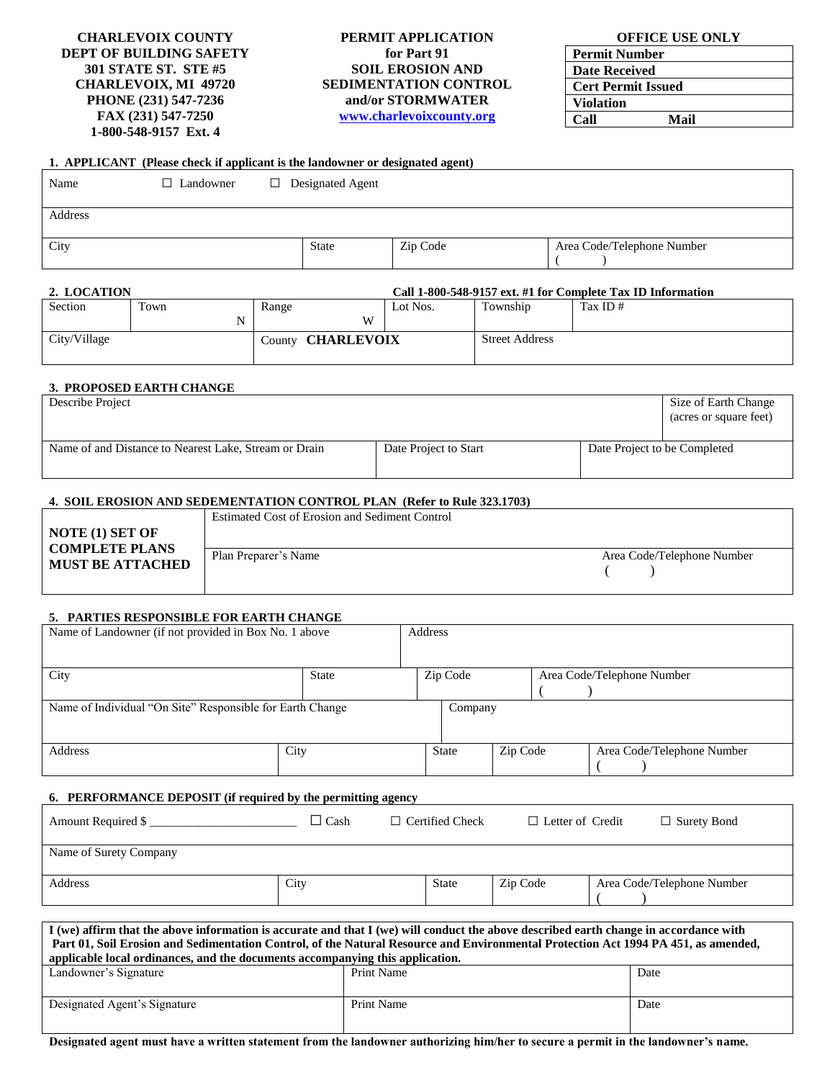**CHARLEVOIX COUNTY DEPT OF BUILDING SAFETY 301 STATE ST. STE #5 CHARLEVOIX, MI 49720 PHONE (231) 547-7236 FAX (231) 547-7250 1-800-548-9157 Ext. 4**

#### **PERMIT APPLICATION for Part 91 SOIL EROSION AND SEDIMENTATION CONTROL and/or STORMWATER [www.charlevoixcounty.org](http://www.charlevoixcounty.org/)**

| <b>OFFICE USE ONLY</b> |  |  |  |
|------------------------|--|--|--|
|------------------------|--|--|--|

| <b>Permit Number</b>      |      |
|---------------------------|------|
| <b>Date Received</b>      |      |
| <b>Cert Permit Issued</b> |      |
| <b>Violation</b>          |      |
| Call                      | Mail |

|  | 1. APPLICANT (Please check if applicant is the landowner or designated agent) |  |
|--|-------------------------------------------------------------------------------|--|
|  |                                                                               |  |

| Name    | $\Box$ Landowner | $\Box$ Designated Agent |          |                            |
|---------|------------------|-------------------------|----------|----------------------------|
| Address |                  |                         |          |                            |
| City    |                  | <b>State</b>            | Zip Code | Area Code/Telephone Number |

#### **2. LOCATION Call 1-800-548-9157 ext. #1 for Complete Tax ID Information**

|              |      |                          |          |                       | <u>UMI I OVU V IV ZIVI VAN HI IVI UVIIIDIVIV IMA ID IIIIVIIIMMUUI</u> |
|--------------|------|--------------------------|----------|-----------------------|-----------------------------------------------------------------------|
| Section      | Town | Range                    | Lot Nos. | Township              | Tax ID $#$                                                            |
|              |      | W                        |          |                       |                                                                       |
| City/Village |      | County <b>CHARLEVOIX</b> |          | <b>Street Address</b> |                                                                       |

#### **3. PROPOSED EARTH CHANGE**

| Describe Project                                      |                       |                              | Size of Earth Change<br>(acres or square feet) |
|-------------------------------------------------------|-----------------------|------------------------------|------------------------------------------------|
| Name of and Distance to Nearest Lake, Stream or Drain | Date Project to Start | Date Project to be Completed |                                                |

#### **4. SOIL EROSION AND SEDEMENTATION CONTROL PLAN (Refer to Rule 323.1703)**

|                                                                     | Estimated Cost of Erosion and Sediment Control |                            |
|---------------------------------------------------------------------|------------------------------------------------|----------------------------|
| NOTE (1) SET OF<br><b>COMPLETE PLANS</b><br><b>MUST BE ATTACHED</b> |                                                |                            |
|                                                                     | Plan Preparer's Name                           | Area Code/Telephone Number |
|                                                                     |                                                |                            |

## **5. PARTIES RESPONSIBLE FOR EARTH CHANGE**

| Name of Landowner (if not provided in Box No. 1 above     |       | Address |              |          |                            |
|-----------------------------------------------------------|-------|---------|--------------|----------|----------------------------|
| City                                                      | State |         | Zip Code     |          | Area Code/Telephone Number |
| Name of Individual "On Site" Responsible for Earth Change |       |         | Company      |          |                            |
| Address                                                   | City  |         | <b>State</b> | Zip Code | Area Code/Telephone Number |

# **6. PERFORMANCE DEPOSIT (if required by the permitting agency**

| Amount Required \$     | ⊿ Cash | $\Box$ Certified Check | $\Box$ Letter of Credit | $\Box$ Surety Bond         |
|------------------------|--------|------------------------|-------------------------|----------------------------|
| Name of Surety Company |        |                        |                         |                            |
| Address                | City   | <b>State</b>           | Zip Code                | Area Code/Telephone Number |

| I (we) affirm that the above information is accurate and that I (we) will conduct the above described earth change in accordance with<br>Part 01, Soil Erosion and Sedimentation Control, of the Natural Resource and Environmental Protection Act 1994 PA 451, as amended,<br>applicable local ordinances, and the documents accompanying this application. |            |      |  |  |
|--------------------------------------------------------------------------------------------------------------------------------------------------------------------------------------------------------------------------------------------------------------------------------------------------------------------------------------------------------------|------------|------|--|--|
| Landowner's Signature                                                                                                                                                                                                                                                                                                                                        | Print Name | Date |  |  |
| Designated Agent's Signature                                                                                                                                                                                                                                                                                                                                 | Print Name | Date |  |  |

**Designated agent must have a written statement from the landowner authorizing him/her to secure a permit in the landowner's name.**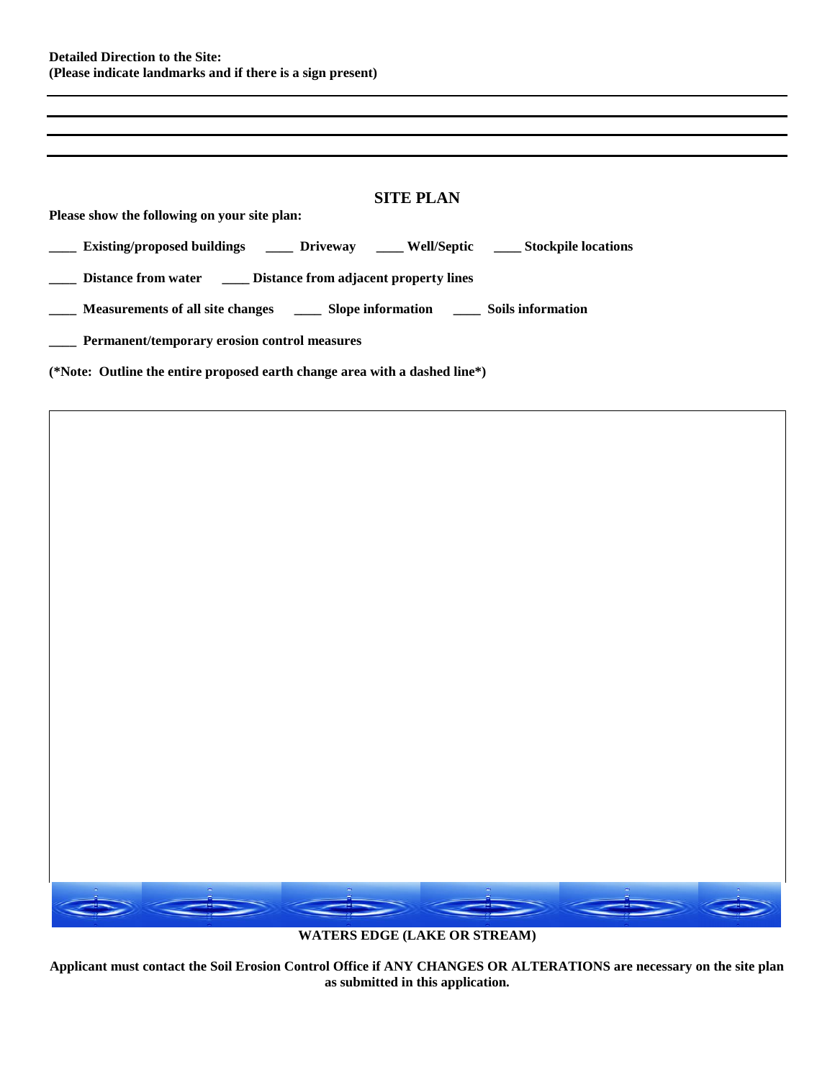| <b>SITE PLAN</b>                                                                        |
|-----------------------------------------------------------------------------------------|
| Please show the following on your site plan:                                            |
| Existing/proposed buildings ______ Driveway _____ Well/Septic _____ Stockpile locations |
| Distance from water _________ Distance from adjacent property lines                     |
|                                                                                         |
| Permanent/temporary erosion control measures                                            |
| (*Note: Outline the entire proposed earth change area with a dashed line*)              |



**WATERS EDGE (LAKE OR STREAM)**

**Applicant must contact the Soil Erosion Control Office if ANY CHANGES OR ALTERATIONS are necessary on the site plan as submitted in this application.**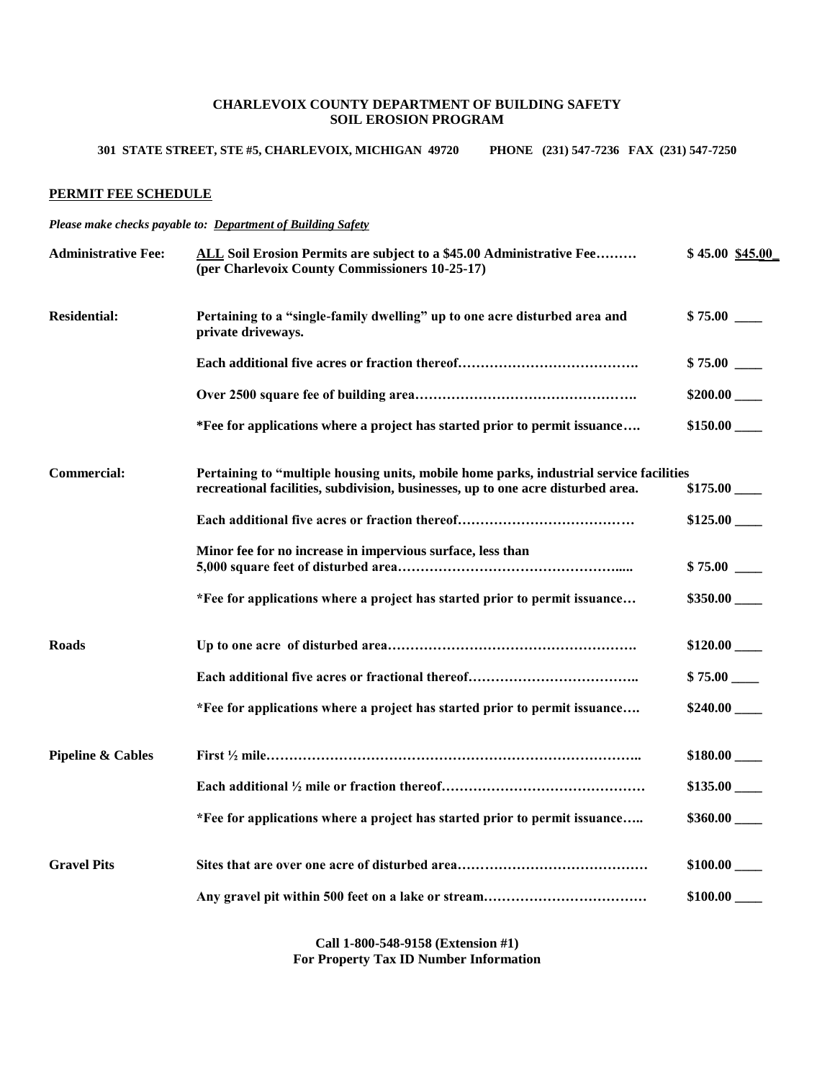## **CHARLEVOIX COUNTY DEPARTMENT OF BUILDING SAFETY SOIL EROSION PROGRAM**

# **301 STATE STREET, STE #5, CHARLEVOIX, MICHIGAN 49720 PHONE (231) 547-7236 FAX (231) 547-7250**

## **PERMIT FEE SCHEDULE**

*Please make checks payable to: Department of Building Safety*

| <b>Administrative Fee:</b>   | ALL Soil Erosion Permits are subject to a \$45.00 Administrative Fee<br>(per Charlevoix County Commissioners 10-25-17)                                                      | \$45.00\$345.00  |
|------------------------------|-----------------------------------------------------------------------------------------------------------------------------------------------------------------------------|------------------|
| <b>Residential:</b>          | Pertaining to a "single-family dwelling" up to one acre disturbed area and<br>private driveways.                                                                            |                  |
|                              |                                                                                                                                                                             | \$75.00          |
|                              |                                                                                                                                                                             |                  |
|                              | *Fee for applications where a project has started prior to permit issuance                                                                                                  |                  |
| Commercial:                  | Pertaining to "multiple housing units, mobile home parks, industrial service facilities<br>recreational facilities, subdivision, businesses, up to one acre disturbed area. |                  |
|                              |                                                                                                                                                                             | $$125.00$ $\_\_$ |
|                              | Minor fee for no increase in impervious surface, less than                                                                                                                  | \$75.00          |
|                              | *Fee for applications where a project has started prior to permit issuance                                                                                                  |                  |
| <b>Roads</b>                 |                                                                                                                                                                             | \$120.00         |
|                              |                                                                                                                                                                             | $$75.00$ $\_\_$  |
|                              | *Fee for applications where a project has started prior to permit issuance                                                                                                  | \$240.00         |
| <b>Pipeline &amp; Cables</b> |                                                                                                                                                                             |                  |
|                              |                                                                                                                                                                             | \$135.00         |
|                              | *Fee for applications where a project has started prior to permit issuance                                                                                                  | \$360.00         |
| <b>Gravel Pits</b>           |                                                                                                                                                                             |                  |
|                              |                                                                                                                                                                             | \$100.00         |

**Call 1-800-548-9158 (Extension #1) For Property Tax ID Number Information**